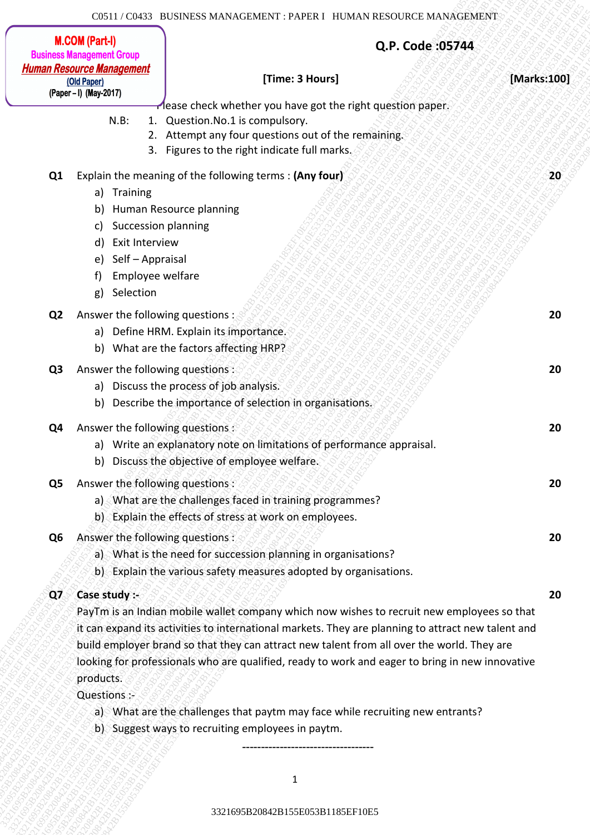### **[Time: 3 Hours] [Marks:100]**

**Q.P. Code :05744**

Please check whether you have got the right question paper.

**33216285 B2165 EF10E533216 EF10E533216 EF10E533216 EF10E533216 EF10E533216 EF10E533216 EF10E533216 EF10E5332163216 EF10E533216 EF10E533216 EF10E533216 EF10E533216 EF10E533216 EF10E533216 EF10E533216 CONVERTING CONVERTING Experimental States Contents are contents and a state of the state of the state of the state of the state of the state of the state of the state of the state of the state of the state of the state of the state of the stat** 3 Barris - Stear Street Contents and Contents and Contents and Contents and Contents are an above the contents of the contents of the contents of the contents of the contents of the contents of the contents of the content 3321695B20842B155E053B1185EF10E53321695B20842B155E053B1185EF10E53321695B20842B155E053B1185EF10E53321695B20842B155E053B1185EF10E53321695B20842B155E053B1185EF10E53321695B20842B155E053B1185EF10E5 **3215EF10E53215EF10E53215EF10E53215EF10E53215EF10E533215EF10E53215EF10E53215EF10E53215EF10E533215EF10E533215EF10E533215EF10E533215EF10E533215EF10E533215EF10E533215EF10E533215EF10E533215EF10E533215EF10E533215EF10E533216EF10 33216208425744**<br> **332162084281628428162161185E110E5331621618428161185E11185E11185E61616185E11185EF11185EF11185E61185E05321642<br>
23. European Control Association Scheme Scheme Scheme Scheme Scheme Scheme Scheme Scheme Sche** 3321695B20842B155E053B1185EF10E53321695B20842B155E053B1185EF10E53321695B20842B155E053B1185EF10E53321695B20842B155E053B1185EF10E53321695B20842B155E053B1185EF10E53321695B20842B155E053B1185EF10E5 3321695B20842B155E053B1185EF10E53321695B20842B155E053B1185EF10E53321695B20842B155E053B1185EF10E53321695B20842B155E053B1185EF10E53321695B20842B155E053B1185EF10E53321695B20842B155E053B1185EF10E5 332621658216858 Backstages and the context and the context of the context of the context of the context of the context of the context of the context of the context of the context of the context of the context of the contex 33216215216283216283216231623162316283216231625EF11656EF10E533216<br> **Buttomic Burgers (Buttomic State of the Control of the Control of the Control of the Control of the Control of the Control of the Control of the Control** 3321695B20842B155E053B1185EF10E53321695B20842B155E053B1185EF10E53321695B20842B155E053B1185EF10E53321695B20842B155E053B1185EF10E53321695B20842B155E053B1185EF10E53321695B20842B155E053B1185EF10E5 33316221832185 SEVENGER HENDET PATRIX ILINEES HENDET (2003) The Content of Content of Content of Content of Content of Content of Content of Content of Content of Content of Content of Content of Content of Content of Con 3331628321628382832843528435216185716284352161852616251628428826329428842<br> **Excellence Blowney (a)**<br> **Excellence Blowney (a)**<br> **Excellence Blowney (a)**<br> **Excellence Blowney (a)**<br> **Excellence Blowney (a)**<br> **Excellence Blow** 33216252162842816252165EF1204348165EF10E5384262B1155EF10E5316B20842B165EF10E5316B20842B165EF10E5316B20842B1185EF10E5316EF10E5316EF10E53321695EF11185EF10E53321695EF11185EF10E53321695EF11185EF10E53321695EF11185EF10E53321628 33216222216283216232162321632162321632163216321632162842<br> **3322620161628428162842**<br> **3424747628161**<br> **77447-776281611**<br> **77447-77628161**<br> **77447-77628161**<br> **77447-77628161**<br> **77447-77628161**<br> **1875-1885**<br> **1875-1885**<br> **18** 33211/02133 ILXSENERS MANAGEMENT: PAPER 1 IDMAN RESOLTCE MANAGEMENT<br> **Ruber (Apper)**<br> **Proper (Apper)**<br> **Proper (Apper)**<br> **Proper (Apper)**<br> **Proper (Apper)**<br> **Proper (Apper)**<br> **Ruber 10. Constrained by the same particular** 3321620211700113 DISSERSS MAXACEDIENT TATELE ITEMAN RESOURCE MAXACEDED (NOW (PHOTO) (Processor (Now The United States) (Processor (Now The United States) (Processor (Now The United States) (Now The United States) (Now The CG11: COM3 BCROSSB MAX-ACDIAD-TT-7-NT6E1 ITO AAN ECONOMISTIC **But COMPUTER**<br> **But COMPUTER**<br> **But Computer**<br> **But Computer**<br> **But Computer**<br> **But Computer**<br> **But Computer**<br> **RES 10** Determined and American computer interv 3321823221618581858682682618281818769781216181560581618162616186366626161616161<br> **Aliana Resource Simplestry**<br> **Aliana Resource Simplest Resource State Resource State Resource State Resource State Resource State Resource** 332162321818181856 MAAAGHAWAYT PAPKRT HATAS BESTURE THE COMPROMIST COMPROMIST COMPROMIST COMPROMIST COMPROMIST COMPROMIST COMPROMIST COMPROMIST COMPROMIST COMPROMIST COMPROMIST COMPROMIST COMPROMIST COMPROMIST COMPROMIST N.B: 1. Question.No.1 is compulsory. 2. Attempt any four questions out of the remaining. 3. Figures to the right indicate full marks. **Q1** Explain the meaning of the following terms : **(Any four) 20** a) Training b) Human Resource planning c) Succession planning d) Exit Interview e) Self – Appraisal f) Employee welfare g) Selection **Q2** Answer the following questions : **20** a) Define HRM. Explain its importance. b) What are the factors affecting HRP? **Q3** Answer the following questions : **20** a) Discuss the process of job analysis. b) Describe the importance of selection in organisations. **Q4** Answer the following questions : 20 20 a) Write an explanatory note on limitations of performance appraisal. b) Discuss the objective of employee welfare. **Q5** Answer the following questions : **20** a) What are the challenges faced in training programmes? b) Explain the effects of stress at work on employees. **Q6** Answer the following questions : **20** a) What is the need for succession planning in organisations? b) Explain the various safety measures adopted by organisations. **Q7 Case study :- 20**

PayTm is an Indian mobile wallet company which now wishes to recruit new employees so that it can expand its activities to international markets. They are planning to attract new talent and build employer brand so that they can attract new talent from all over the world. They are looking for professionals who are qualified, ready to work and eager to bring in new innovative products.

Questions :-

- a) What are the challenges that paytm may face while recruiting new entrants?
- b) Suggest ways to recruiting employees in paytm.

-----------------------------------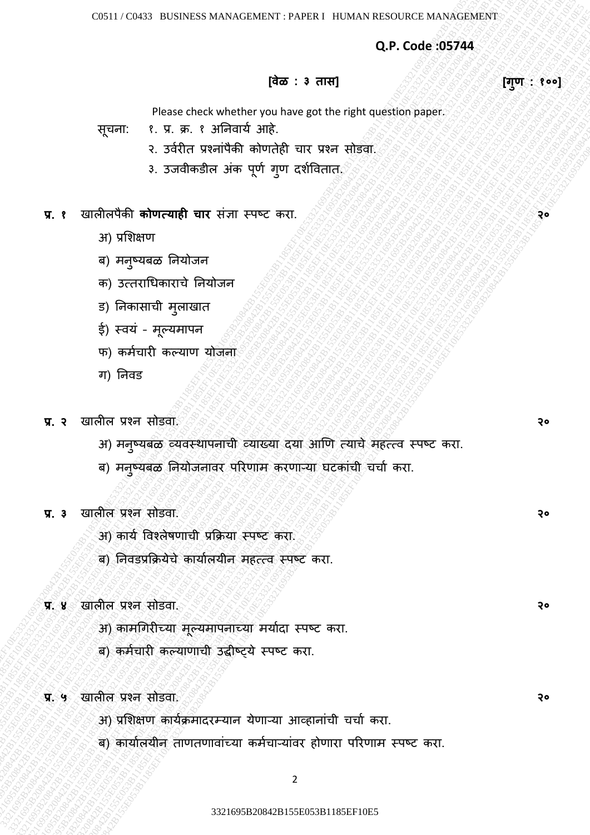**Q.P. Code :05744**

# **[वेळ : ३ तास] [गुण : १००]**

Please check whether you have got the right question paper.

- सूचना: १. प्र. क्र. १ अननवार्य आहे.
	- २. उवयरीत प्रशनाांपैकी कोणतेही चार प्रशन सोडवा.
	- ३. उजवीकडील अंक पूर्ण गुण दर्शवितात.

## **प्र. १** खालीलपैकी **कोणत्याही चार** सांज्ञा स्पष्ट करा. **२०**

- अ) प्रशर्क्षण
- ब) मनुष्यबळ नियोजन
- क) उत्तराधिकाराचे ननर्ोजन
- ड) ननकासाची मुलाखात
- ई) स्वयं मूल्यमापन
- फ) कर्मचारी कल्याण योजना
- ग) ननवड
- **प्र. २** खालील प्रशन सोडवा. **२०**
- $$1832$$ <br>  $$1833$$ <br>  $$1833$$ <br>  $$1833$$ <br>  $$1833$$ <br>  $$1833$$ <br>  $$1833$$ <br>  $$2333$$ <br>  $$2333$$ <br>  $$2333$$ <br>  $$2333$$ <br>  $$2335$$ <br>  $$3343$$ <br>  $$3435$$ <br>  $$3435$$ <br>  $$3538$$ <br>  $$3538$$ <br>  $$3633$$ <br>  $$373$$ <br>  $$373$$ <br>  $$373$$ <br>  $$373$$ <br>  $$373$ 23216<br>
33216 B20842B16 Website for a specific function and the specific function and the specific control control control control control control control control control control control control control control control con  $(4r)$  Consected whether you have get the right cases to move the right cases of the right cases of the right case of the right case of the right case of the right case of the right case of the right case of the right cas Q.P. Code 355744<br>  $\begin{array}{lllllllllll} \text{33.527} & \text{10.532} & \text{10.543} & \text{10.544} & \text{10.552} & \text{10.545} & \text{10.545} & \text{10.545} & \text{10.545} & \text{10.545} & \text{10.545} & \text{10.545} & \text{10.545} & \text{10.545} & \text{10.545} & \text{10.545} & \text{10.545} & \text{$ Q.P. Code 305744<br>  $\frac{1}{2}$ <br>  $\frac{1}{2}$ <br>  $\frac{1}{2}$ <br>  $\frac{1}{2}$ <br>  $\frac{1}{2}$ <br>  $\frac{1}{2}$ <br>  $\frac{1}{2}$ <br>  $\frac{1}{2}$ <br>  $\frac{1}{2}$ <br>  $\frac{1}{2}$ <br>  $\frac{1}{2}$ <br>  $\frac{1}{2}$ <br>  $\frac{1}{2}$ <br>  $\frac{1}{2}$ <br>  $\frac{1}{2}$ <br>  $\frac{1}{2}$ <br>  $\frac{1}{2}$ <br>  $\frac{1}{2}$ <br>  $\frac{1$ Q.P. Code 305744<br>
Please check whether you have not the right of the reality of the state of reality and the reality of the reality of the reality of the reality of the reality of the reality of the reality of the reality Q.P. Code 357544<br>
(Reserves the start of the start of the start of the start of the start of the start of the start of the start of the start of the start of the start of the start of the start of the start of the start o 33216285 B232165 B232165 B23284<br>
(**Rec. 3 and figure 1** control of the set of the set of the set of the set of the set of the set of the set of the set of the set of the set of the set of the set of the set of the set of 333216958216858E65868884315E053161815E05321685E16321685E163216843165E1632168432165E11185EF10E53321695E1632165E1632165E11185E11185E1632165E11185E11185E11185E11185E11185E11185E11185E11185E11185E11185E11185E11185E11185E11185 33216285 B238828332162817 FM2561 BRASH BASONES MCCCCRES<br>
(Base : a contract whether you have get to regist quark paper.<br>
73216 F10E5165 F10E5165 F10E516 F10E516 F10E516 F10E516<br>
7435 F10E5165E61 Studies and the state of r 338161955 B2531555 SCORLEAGES : 2011241 B2535 SCORLEAGES : 2011<br>
(as : 3 and 1<br>
23216 B2084 B155EF10E53321695 B2084 B155E105<br>
23216 B2084 B155EF10E533165EF10E53321695EF10E53321695EF10E53<br>
23. and B35EF10E53321695EF10E5331 3321695B20842B155E053B1185EF10E53321695B20842B155E053B1185EF10E53321695B20842B155E053B1185EF10E53321695B20842B155E053B1185EF10E53321695B20842B155E053B1185EF10E53321695B20842B155E053B1185EF10E5 333176E653 B13585ES165B2085ES16B2085ES16.001116ES16.0012B155T<br>
(a)P. Code 355744<br>
(a) Code 355744<br>
(a) Code 355816 B20842B1185E616 B20842<br>
(a) Code 355816 B20842B1185E6 B20842B1185E616<br>
(a) Sachings Bradan<br>
(a) Saching Br 3319 Finance Business transactions in Paper 1 Halland River of the Code 355744<br>
(**Business check whether you have not the right quasition space.**<br>  $\frac{1}{2}$  2016,  $\frac{1}{2}$  3216,  $\frac{1}{2}$  3216,  $\frac{1}{2}$  3216,  $\frac{1}{2}$  3321695B20842B155E053B1185EF10E53321695B20842B155E053B1185EF10E53321695B20842B155E053B1185EF10E53321695B20842B155E053B1185EF10E53321695B20842B155E053B1185EF10E53321695B20842B155E053B1185EF10E5 33211/0233 BLESSERS MANAGEMENT : PAPER 110MAN RESOLTCE MANAGEMENT<br>
(age of the state of the control of the first control of the first control of the first control of the first control of the state of the state of the firs 3321695B20842B155E053B1185EF10E53321695B20842B155E053B1185EF10E53321695B20842B155E053B1185EF10E53321695B20842B155E053B1185EF10E53321695B20842B155E053B1185EF10E53321695B20842B155E053B1185EF10E5 33216285 B208558316856205217: FARER IROAD MESSORICE MANAGEMENT<br>
(app. Code 355744<br>
(app. code 355744<br>
(application of the state of the state of the state of the state of the state of the state of the state of the state of 3331 Class interests and Activators PAPER Interests and Control of the second text of the second text of the second text of the second text of the second text of the second text of the second text of the second text of th 3321695B20842B155E053B1185EF10E53321695B20842B155E053B1185EF10E53321695B20842B155E053B1185EF10E53321695B20842B155E053B1185EF10E53321695B20842B155E053B1185EF10E53321695B20842B155E053B1185EF10E5 अ) मनुष्यबळ व्यवस्थापनाची व्याख्या दया आणि त्याचे महत्त्व स्पष्ट करा.
	- ब) मनुष्यबळ नियोजनावर परिणाम करणाऱ्या घटकांची चर्चा करा.
	- **प्र. ३** खालील प्रशन सोडवा. **२०**
		- अ) कार्य ववशलेषणाची प्रक्रक्रर्ा स्पष्ट करा.
		- ब) ननवडप्रक्रक्रर्ेचे कार्ायलर्ीन महत्त्व स्पष्ट करा.
	- **प्र. ४** खालील प्रशन सोडवा. **२०**
		- अ) कामधगरीच्र्ा मूल्र्मापनाच्र्ा मर्ायदा स्पष्ट करा.
		- ब) कमयचारी कल्र्ाणाची उद्धीष््र्े स्पष्ट करा.
	- **प्र. ५** खालील प्रशन सोडवा. **२०**
		- अ) प्रशिक्षण कार्यक्रमादरम्यान येणाऱ्या आव्हानांची चर्चा करा.
		- ब) कार्यालयीन ताणतणावांच्या कर्मचाऱ्यांवर होणारा परिणाम स्पष्ट करा.